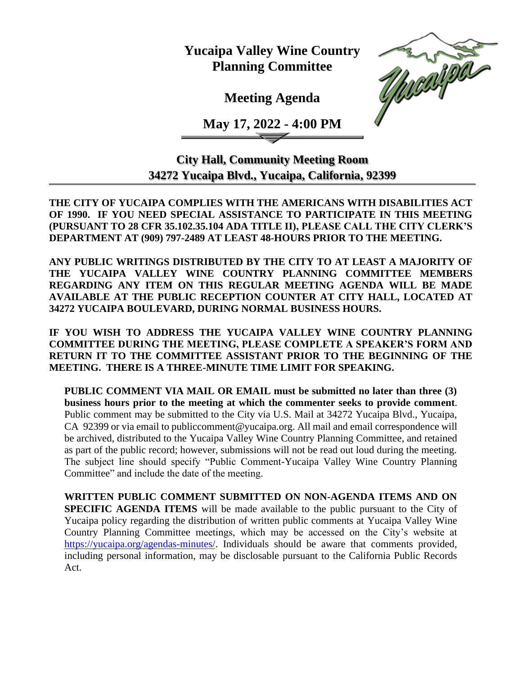**Yucaipa Valley Wine Country Planning Committee**

**Meeting Agenda**

**May 17, 2022 - 4:00 PM**



**City Hall, Community Meeting Room 34272 Yucaipa Blvd., Yucaipa, California, 92399**

**THE CITY OF YUCAIPA COMPLIES WITH THE AMERICANS WITH DISABILITIES ACT OF 1990. IF YOU NEED SPECIAL ASSISTANCE TO PARTICIPATE IN THIS MEETING (PURSUANT TO 28 CFR 35.102.35.104 ADA TITLE II), PLEASE CALL THE CITY CLERK'S DEPARTMENT AT (909) 797-2489 AT LEAST 48-HOURS PRIOR TO THE MEETING.**

**ANY PUBLIC WRITINGS DISTRIBUTED BY THE CITY TO AT LEAST A MAJORITY OF THE YUCAIPA VALLEY WINE COUNTRY PLANNING COMMITTEE MEMBERS REGARDING ANY ITEM ON THIS REGULAR MEETING AGENDA WILL BE MADE AVAILABLE AT THE PUBLIC RECEPTION COUNTER AT CITY HALL, LOCATED AT 34272 YUCAIPA BOULEVARD, DURING NORMAL BUSINESS HOURS.** 

**IF YOU WISH TO ADDRESS THE YUCAIPA VALLEY WINE COUNTRY PLANNING COMMITTEE DURING THE MEETING, PLEASE COMPLETE A SPEAKER'S FORM AND RETURN IT TO THE COMMITTEE ASSISTANT PRIOR TO THE BEGINNING OF THE MEETING. THERE IS A THREE-MINUTE TIME LIMIT FOR SPEAKING.**

**PUBLIC COMMENT VIA MAIL OR EMAIL must be submitted no later than three (3) business hours prior to the meeting at which the commenter seeks to provide comment**. Public comment may be submitted to the City via U.S. Mail at 34272 Yucaipa Blvd., Yucaipa, CA 92399 or via email to [publiccomment@yucaipa.org.](mailto:publiccomment@yucaipa.org) All mail and email correspondence will be archived, distributed to the Yucaipa Valley Wine Country Planning Committee, and retained as part of the public record; however, submissions will not be read out loud during the meeting. The subject line should specify "Public Comment-Yucaipa Valley Wine Country Planning Committee" and include the date of the meeting.

**WRITTEN PUBLIC COMMENT SUBMITTED ON NON-AGENDA ITEMS AND ON SPECIFIC AGENDA ITEMS** will be made available to the public pursuant to the City of Yucaipa policy regarding the distribution of written public comments at Yucaipa Valley Wine Country Planning Committee meetings, which may be accessed on the City's website at [https://yucaipa.org/agendas-minutes/.](https://yucaipa.org/agendas-minutes/) Individuals should be aware that comments provided, including personal information, may be disclosable pursuant to the California Public Records Act.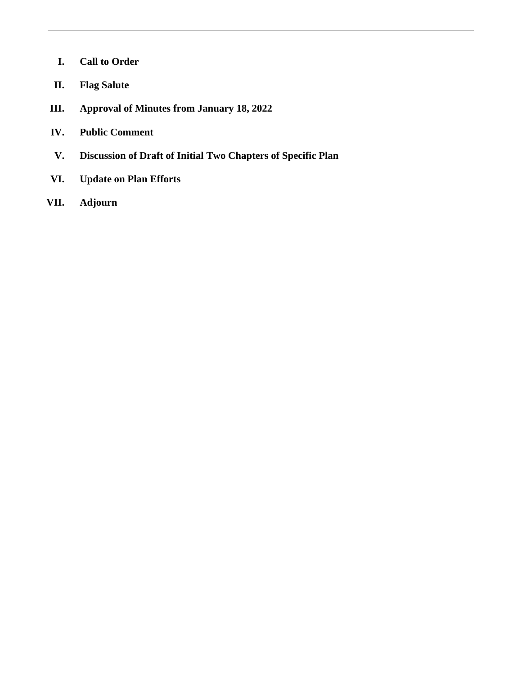- **I. Call to Order**
- **II. Flag Salute**
- **III. Approval of Minutes from January 18, 2022**
- **IV. Public Comment**
- **V. Discussion of Draft of Initial Two Chapters of Specific Plan**
- **VI. Update on Plan Efforts**
- **VII. Adjourn**